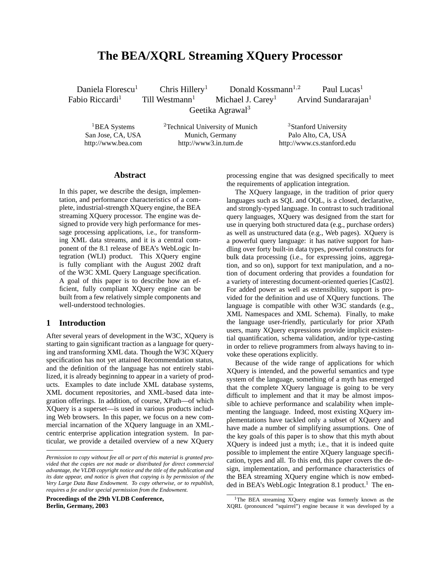# **The BEA/XQRL Streaming XQuery Processor**

Daniela Florescu<sup>1</sup> Chris Hillery<sup>1</sup> Donald Kossmann<sup>1,2</sup> Paul Lucas<sup>1</sup>

Fabio Riccardi<sup>1</sup> Till Westmann<sup>1</sup> Michael J. Carey<sup>1</sup> Arvind Sundararajan<sup>1</sup>

Geetika Agrawal<sup>3</sup>

<sup>1</sup>BEA Systems San Jose, CA, USA http://www.bea.com <sup>2</sup>Technical University of Munich Munich, Germany http://www3.in.tum.de

<sup>3</sup>Stanford University Palo Alto, CA, USA http://www.cs.stanford.edu

#### **Abstract**

In this paper, we describe the design, implementation, and performance characteristics of a complete, industrial-strength XQuery engine, the BEA streaming XQuery processor. The engine was designed to provide very high performance for message processing applications, i.e., for transforming XML data streams, and it is a central component of the 8.1 release of BEA's WebLogic Integration (WLI) product. This XQuery engine is fully compliant with the August 2002 draft of the W3C XML Query Language specification. A goal of this paper is to describe how an efficient, fully compliant XQuery engine can be built from a few relatively simple components and well-understood technologies.

#### **1 Introduction**

After several years of development in the W3C, XQuery is starting to gain significant traction as a language for querying and transforming XML data. Though the W3C XQuery specification has not yet attained Recommendation status, and the definition of the language has not entirely stabilized, it is already beginning to appear in a variety of products. Examples to date include XML database systems, XML document repositories, and XML-based data integration offerings. In addition, of course, XPath—of which XQuery is a superset—is used in various products including Web browsers. In this paper, we focus on a new commercial incarnation of the XQuery language in an XMLcentric enterprise application integration system. In particular, we provide a detailed overview of a new XQuery

**Proceedings of the 29th VLDB Conference, Berlin, Germany, 2003**

processing engine that was designed specifically to meet the requirements of application integration.

The XQuery language, in the tradition of prior query languages such as SQL and OQL, is a closed, declarative, and strongly-typed language. In contrast to such traditional query languages, XQuery was designed from the start for use in querying both structured data (e.g., purchase orders) as well as unstructured data (e.g., Web pages). XQuery is a powerful query language: it has native support for handling over forty built-in data types, powerful constructs for bulk data processing (i.e., for expressing joins, aggregation, and so on), support for text manipulation, and a notion of document ordering that provides a foundation for a variety of interesting document-oriented queries [Cas02]. For added power as well as extensibility, support is provided for the definition and use of XQuery functions. The language is compatible with other W3C standards (e.g., XML Namespaces and XML Schema). Finally, to make the language user-friendly, particularly for prior XPath users, many XQuery expressions provide implicit existential quantification, schema validation, and/or type-casting in order to relieve programmers from always having to invoke these operations explicitly.

Because of the wide range of applications for which XQuery is intended, and the powerful semantics and type system of the language, something of a myth has emerged that the complete XQuery language is going to be very difficult to implement and that it may be almost impossible to achieve performance and scalability when implementing the language. Indeed, most existing XQuery implementations have tackled only a subset of XQuery and have made a number of simplifying assumptions. One of the key goals of this paper is to show that this myth about XQuery is indeed just a myth; i.e., that it is indeed quite possible to implement the entire XQuery language specification, types and all. To this end, this paper covers the design, implementation, and performance characteristics of the BEA streaming XQuery engine which is now embedded in BEA's WebLogic Integration 8.1 product.<sup>1</sup> The en-

*Permission to copy without fee all or part of this material is granted provided that the copies are not made or distributed for direct commercial advantage, the VLDB copyright notice and the title of the publication and its date appear, and notice is given that copying is by permission of the Very Large Data Base Endowment. To copy otherwise, or to republish, requires a fee and/or special permission from the Endowment.*

<sup>1</sup>The BEA streaming XQuery engine was formerly known as the XQRL (pronounced "squirrel") engine because it was developed by a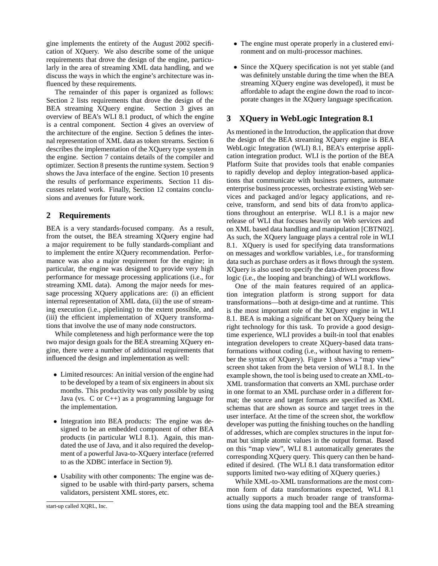gine implements the entirety of the August 2002 specification of XQuery. We also describe some of the unique requirements that drove the design of the engine, particularly in the area of streaming XML data handling, and we discuss the ways in which the engine's architecture was influenced by these requirements.

The remainder of this paper is organized as follows: Section 2 lists requirements that drove the design of the BEA streaming XQuery engine. Section 3 gives an overview of BEA's WLI 8.1 product, of which the engine is a central component. Section 4 gives an overview of the architecture of the engine. Section 5 defines the internal representation of XML data as token streams. Section 6 describes the implementation of the XQuery type system in the engine. Section 7 contains details of the compiler and optimizer. Section 8 presents the runtime system. Section 9 shows the Java interface of the engine. Section 10 presents the results of performance experiments. Section 11 discusses related work. Finally, Section 12 contains conclusions and avenues for future work.

# **2 Requirements**

BEA is a very standards-focused company. As a result, from the outset, the BEA streaming XQuery engine had a major requirement to be fully standards-compliant and to implement the entire XQuery recommendation. Performance was also a major requirement for the engine; in particular, the engine was designed to provide very high performance for message processing applications (i.e., for streaming XML data). Among the major needs for message processing XQuery applications are: (i) an efficient internal representation of XML data, (ii) the use of streaming execution (i.e., pipelining) to the extent possible, and (iii) the efficient implementation of XQuery transformations that involve the use of many node constructors.

While completeness and high performance were the top two major design goals for the BEA streaming XQuery engine, there were a number of additional requirements that influenced the design and implementation as well:

- Limited resources: An initial version of the engine had to be developed by a team of six engineers in about six months. This productivity was only possible by using Java (vs. C or C++) as a programming language for the implementation.
- Integration into BEA products: The engine was designed to be an embedded component of other BEA products (in particular WLI 8.1). Again, this mandated the use of Java, and it also required the development of a powerful Java-to-XQuery interface (referred to as the XDBC interface in Section 9).
- Usability with other components: The engine was designed to be usable with third-party parsers, schema validators, persistent XML stores, etc.
- The engine must operate properly in a clustered environment and on multi-processor machines.
- Since the XQuery specification is not yet stable (and was definitely unstable during the time when the BEA streaming XQuery engine was developed), it must be affordable to adapt the engine down the road to incorporate changes in the XQuery language specification.

# **3 XQuery in WebLogic Integration 8.1**

As mentioned in the Introduction, the application that drove the design of the BEA streaming XQuery engine is BEA WebLogic Integration (WLI) 8.1, BEA's enterprise application integration product. WLI is the portion of the BEA Platform Suite that provides tools that enable companies to rapidly develop and deploy integration-based applications that communicate with business partners, automate enterprise business processes, orchestrate existing Web services and packaged and/or legacy applications, and receive, transform, and send bits of data from/to applications throughout an enterprise. WLI 8.1 is a major new release of WLI that focuses heavily on Web services and on XML based data handling and manipulation [CBTN02]. As such, the XQuery language plays a central role in WLI 8.1. XQuery is used for specifying data transformations on messages and workflow variables, i.e., for transforming data such as purchase orders as it flows through the system. XQuery is also used to specify the data-driven process flow logic (i.e., the looping and branching) of WLI workflows.

One of the main features required of an application integration platform is strong support for data transformations—both at design-time and at runtime. This is the most important role of the XQuery engine in WLI 8.1. BEA is making a significant bet on XQuery being the right technology for this task. To provide a good designtime experience, WLI provides a built-in tool that enables integration developers to create XQuery-based data transformations without coding (i.e., without having to remember the syntax of XQuery). Figure 1 shows a "map view" screen shot taken from the beta version of WLI 8.1. In the example shown, the tool is being used to create an XML-to-XML transformation that converts an XML purchase order in one format to an XML purchase order in a different format; the source and target formats are specified as XML schemas that are shown as source and target trees in the user interface. At the time of the screen shot, the workflow developer was putting the finishing touches on the handling of addresses, which are complex structures in the input format but simple atomic values in the output format. Based on this "map view", WLI 8.1 automatically generates the corresponding XQuery query. This query can then be handedited if desired. (The WLI 8.1 data transformation editor supports limited two-way editing of XQuery queries.)

While XML-to-XML transformations are the most common form of data transformations expected, WLI 8.1 actually supports a much broader range of transformations using the data mapping tool and the BEA streaming

start-up called XQRL, Inc.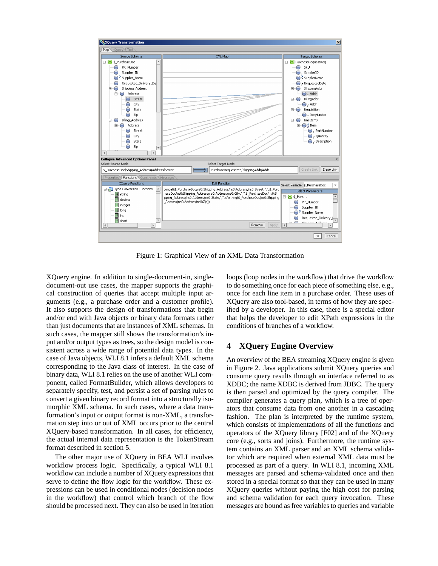

Figure 1: Graphical View of an XML Data Transformation

XQuery engine. In addition to single-document-in, singledocument-out use cases, the mapper supports the graphical construction of queries that accept multiple input arguments (e.g., a purchase order and a customer profile). It also supports the design of transformations that begin and/or end with Java objects or binary data formats rather than just documents that are instances of XML schemas. In such cases, the mapper still shows the transformation's input and/or output types as trees, so the design model is consistent across a wide range of potential data types. In the case of Java objects, WLI 8.1 infers a default XML schema corresponding to the Java class of interest. In the case of binary data, WLI 8.1 relies on the use of another WLI component, called FormatBuilder, which allows developers to separately specify, test, and persist a set of parsing rules to convert a given binary record format into a structurally isomorphic XML schema. In such cases, where a data transformation's input or output format is non-XML, a transformation step into or out of XML occurs prior to the central XQuery-based transformation. In all cases, for efficiency, the actual internal data representation is the TokenStream format described in section 5.

The other major use of XQuery in BEA WLI involves workflow process logic. Specifically, a typical WLI 8.1 workflow can include a number of XQuery expressions that serve to define the flow logic for the workflow. These expressions can be used in conditional nodes (decision nodes in the workflow) that control which branch of the flow should be processed next. They can also be used in iteration loops (loop nodes in the workflow) that drive the workflow to do something once for each piece of something else, e.g., once for each line item in a purchase order. These uses of XQuery are also tool-based, in terms of how they are specified by a developer. In this case, there is a special editor that helps the developer to edit XPath expressions in the conditions of branches of a workflow.

#### **4 XQuery Engine Overview**

An overview of the BEA streaming XQuery engine is given in Figure 2. Java applications submit XQuery queries and consume query results through an interface referred to as XDBC; the name XDBC is derived from JDBC. The query is then parsed and optimized by the query compiler. The compiler generates a query plan, which is a tree of operators that consume data from one another in a cascading fashion. The plan is interpreted by the runtime system, which consists of implementations of all the functions and operators of the XQuery library [F02] and of the XQuery core (e.g., sorts and joins). Furthermore, the runtime system contains an XML parser and an XML schema validator which are required when external XML data must be processed as part of a query. In WLI 8.1, incoming XML messages are parsed and schema-validated once and then stored in a special format so that they can be used in many XQuery queries without paying the high cost for parsing and schema validation for each query invocation. These messages are bound as free variables to queries and variable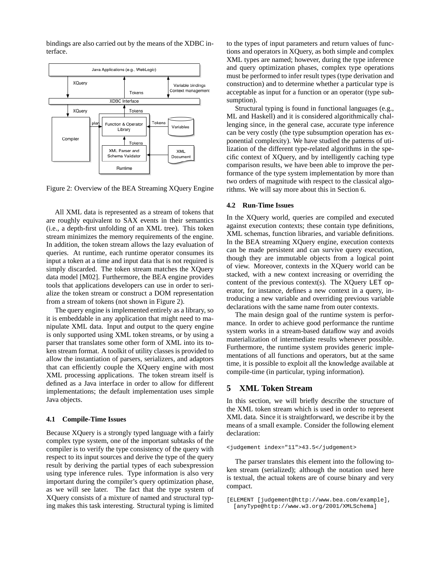bindings are also carried out by the means of the XDBC interface.



Figure 2: Overview of the BEA Streaming XQuery Engine

All XML data is represented as a stream of tokens that are roughly equivalent to SAX events in their semantics (i.e., a depth-first unfolding of an XML tree). This token stream minimizes the memory requirements of the engine. In addition, the token stream allows the lazy evaluation of queries. At runtime, each runtime operator consumes its input a token at a time and input data that is not required is simply discarded. The token stream matches the XQuery data model [M02]. Furthermore, the BEA engine provides tools that applications developers can use in order to serialize the token stream or construct a DOM representation from a stream of tokens (not shown in Figure 2).

The query engine is implemented entirely as a library, so it is embeddable in any application that might need to manipulate XML data. Input and output to the query engine is only supported using XML token streams, or by using a parser that translates some other form of XML into its token stream format. A toolkit of utility classes is provided to allow the instantiation of parsers, serializers, and adaptors that can efficiently couple the XQuery engine with most XML processing applications. The token stream itself is defined as a Java interface in order to allow for different implementations; the default implementation uses simple Java objects.

#### **4.1 Compile-Time Issues**

Because XQuery is a strongly typed language with a fairly complex type system, one of the important subtasks of the compiler is to verify the type consistency of the query with respect to its input sources and derive the type of the query result by deriving the partial types of each subexpression using type inference rules. Type information is also very important during the compiler's query optimization phase, as we will see later. The fact that the type system of XQuery consists of a mixture of named and structural typing makes this task interesting. Structural typing is limited to the types of input parameters and return values of functions and operators in XQuery, as both simple and complex XML types are named; however, during the type inference and query optimization phases, complex type operations must be performed to infer result types (type derivation and construction) and to determine whether a particular type is acceptable as input for a function or an operator (type subsumption).

Structural typing is found in functional languages (e.g., ML and Haskell) and it is considered algorithmically challenging since, in the general case, accurate type inference can be very costly (the type subsumption operation has exponential complexity). We have studied the patterns of utilization of the different type-related algorithms in the specific context of XQuery, and by intelligently caching type comparison results, we have been able to improve the performance of the type system implementation by more than two orders of magnitude with respect to the classical algorithms. We will say more about this in Section 6.

#### **4.2 Run-Time Issues**

In the XQuery world, queries are compiled and executed against execution contexts; these contain type definitions, XML schemas, function libraries, and variable definitions. In the BEA streaming XQuery engine, execution contexts can be made persistent and can survive query execution, though they are immutable objects from a logical point of view. Moreover, contexts in the XQuery world can be stacked, with a new context increasing or overriding the content of the previous context(s). The XQuery LET operator, for instance, defines a new context in a query, introducing a new variable and overriding previous variable declarations with the same name from outer contexts.

The main design goal of the runtime system is performance. In order to achieve good performance the runtime system works in a stream-based dataflow way and avoids materialization of intermediate results whenever possible. Furthermore, the runtime system provides generic implementations of all functions and operators, but at the same time, it is possible to exploit all the knowledge available at compile-time (in particular, typing information).

## **5 XML Token Stream**

In this section, we will briefly describe the structure of the XML token stream which is used in order to represent XML data. Since it is straightforward, we describe it by the means of a small example. Consider the following element declaration:

#### <judgement index="11">43.5</judgement>

The parser translates this element into the following token stream (serialized); although the notation used here is textual, the actual tokens are of course binary and very compact.

<sup>[</sup>ELEMENT [judgement@http://www.bea.com/example], [anyType@http://www.w3.org/2001/XMLSchema]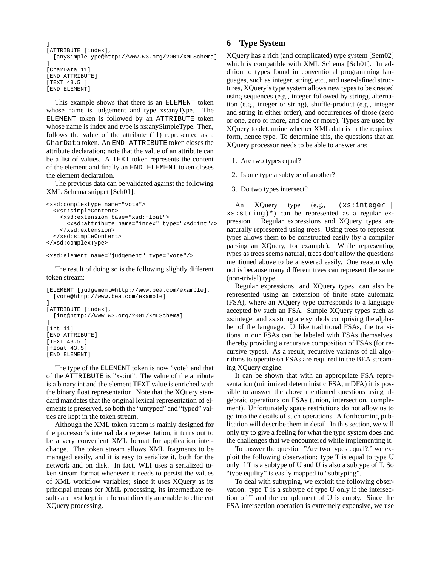```
]
[ATTRIBUTE [index],
 [anySimpleType@http://www.w3.org/2001/XMLSchema]
]
[CharData 11]
[END ATTRIBUTE]
[TEXT 43.5 ]
[END ELEMENT]
```
This example shows that there is an ELEMENT token whose name is judgement and type xs:anyType. The ELEMENT token is followed by an ATTRIBUTE token whose name is index and type is xs:anySimpleType. Then, follows the value of the attribute (11) represented as a CharData token. An END ATTRIBUTE token closes the attribute declaration; note that the value of an attribute can be a list of values. A TEXT token represents the content of the element and finally an END ELEMENT token closes the element declaration.

The previous data can be validated against the following XML Schema snippet [Sch01]:

```
<xsd:complextype name="vote">
 <xsd:simpleContent>
   <xsd:extension base="xsd:float">
      <xsd:attribute name="index" type="xsd:int"/>
   </xsd:extension>
 </xsd:simpleContent>
</xsd:complexType>
```

```
<xsd:element name="judgement" type="vote"/>
```
The result of doing so is the following slightly different token stream:

```
[ELEMENT [judgement@http://www.bea.com/example],
 [vote@http://www.bea.com/example]
]
[ATTRIBUTE [index],
 [int@http://www.w3.org/2001/XMLSchema]
]
[int 11]
[END ATTRIBUTE]
[TEXT 43.5 ]
[float 43.5]
[END ELEMENT]
```
The type of the ELEMENT token is now "vote" and that of the ATTRIBUTE is "xs:int". The value of the attribute is a binary int and the element TEXT value is enriched with the binary float representation. Note that the XQuery standard mandates that the original lexical representation of elements is preserved, so both the "untyped" and "typed" values are kept in the token stream.

Although the XML token stream is mainly designed for the processor's internal data representation, it turns out to be a very convenient XML format for application interchange. The token stream allows XML fragments to be managed easily, and it is easy to serialize it, both for the network and on disk. In fact, WLI uses a serialized token stream format whenever it needs to persist the values of XML workflow variables; since it uses XQuery as its principal means for XML processing, its intermediate results are best kept in a format directly amenable to efficient XQuery processing.

# **6 Type System**

XQuery has a rich (and complicated) type system [Sem02] which is compatible with XML Schema [Sch01]. In addition to types found in conventional programming languages, such as integer, string, etc., and user-defined structures, XQuery's type system allows new types to be created using sequences (e.g., integer followed by string), alternation (e.g., integer or string), shuffle-product (e.g., integer and string in either order), and occurrences of those (zero or one, zero or more, and one or more). Types are used by XQuery to determine whether XML data is in the required form, hence type. To determine this, the questions that an XQuery processor needs to be able to answer are:

- 1. Are two types equal?
- 2. Is one type a subtype of another?
- 3. Do two types intersect?

An XQuery type (e.g., (xs:integer |  $xs:string(*)$  can be represented as a regular expression. Regular expressions and XQuery types are naturally represented using trees. Using trees to represent types allows them to be constructed easily (by a compiler parsing an XQuery, for example). While representing types as trees seems natural, trees don't allow the questions mentioned above to be answered easily. One reason why not is because many different trees can represent the same (non-trivial) type.

Regular expressions, and XQuery types, can also be represented using an extension of finite state automata (FSA), where an XQuery type corresponds to a language accepted by such an FSA. Simple XQuery types such as xs:integer and xs:string are symbols comprising the alphabet of the language. Unlike traditional FSAs, the transitions in our FSAs can be labeled with FSAs themselves, thereby providing a recursive composition of FSAs (for recursive types). As a result, recursive variants of all algorithms to operate on FSAs are required in the BEA streaming XQuery engine.

It can be shown that with an appropriate FSA representation (minimized deterministic FSA, mDFA) it is possible to answer the above mentioned questions using algebraic operations on FSAs (union, intersection, complement). Unfortunately space restrictions do not allow us to go into the details of such operations. A forthcoming publication will describe them in detail. In this section, we will only try to give a feeling for what the type system does and the challenges that we encountered while implementing it.

To answer the question "Are two types equal?," we exploit the following observation: type T is equal to type U only if T is a subtype of U and U is also a subtype of T. So "type equlity" is easily mapped to "subtyping".

To deal with subtyping, we exploit the following observation: type T is a subtype of type U only if the intersection of T and the complement of U is empty. Since the FSA intersection operation is extremely expensive, we use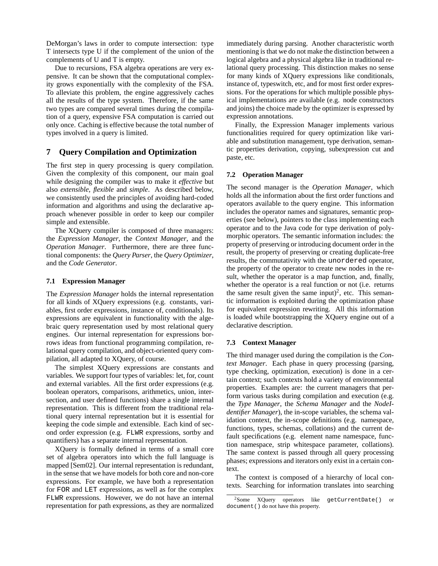DeMorgan's laws in order to compute intersection: type T intersects type U if the complement of the union of the complements of U and T is empty.

Due to recursions, FSA algebra operations are very expensive. It can be shown that the computational complexity grows exponentially with the complexity of the FSA. To alleviate this problem, the engine aggressively caches all the results of the type system. Therefore, if the same two types are compared several times during the compilation of a query, expensive FSA computation is carried out only once. Caching is effective because the total number of types involved in a query is limited.

# **7 Query Compilation and Optimization**

The first step in query processing is query compilation. Given the complexity of this component, our main goal while designing the compiler was to make it *effective* but also *extensible*, *flexible* and *simple*. As described below, we consistently used the principles of avoiding hard-coded information and algorithms and using the declarative approach whenever possible in order to keep our compiler simple and extensible.

The XQuery compiler is composed of three managers: the *Expression Manager*, the *Context Manager*, and the *Operation Manager*. Furthermore, there are three functional components: the *Query Parser*, the *Query Optimizer*, and the *Code Generator*.

#### **7.1 Expression Manager**

The *Expression Manager* holds the internal representation for all kinds of XQuery expressions (e.g. constants, variables, first order expressions, instance of, conditionals). Its expressions are equivalent in functionality with the algebraic query representation used by most relational query engines. Our internal representation for expressions borrows ideas from functional programming compilation, relational query compilation, and object-oriented query compilation, all adapted to XQuery, of course.

The simplest XQuery expressions are constants and variables. We support four types of variables: let, for, count and external variables. All the first order expressions (e.g. boolean operators, comparisons, arithmetics, union, intersection, and user defined functions) share a single internal representation. This is different from the traditional relational query internal representation but it is essential for keeping the code simple and extensible. Each kind of second order expression (e.g. FLWR expressions, sortby and quantifiers) has a separate internal representation.

XQuery is formally defined in terms of a small core set of algebra operators into which the full language is mapped [Sem02]. Our internal representation is redundant, in the sense that we have models for both core and non-core expressions. For example, we have both a representation for FOR and LET expressions, as well as for the complex FLWR expressions. However, we do not have an internal representation for path expressions, as they are normalized

immediately during parsing. Another characteristic worth mentioning is that we do not make the distinction between a logical algebra and a physical algebra like in traditional relational query processing. This distinction makes no sense for many kinds of XQuery expressions like conditionals, instance of, typeswitch, etc, and for most first order expressions. For the operations for which multiple possible physical implementations are available (e.g. node constructors and joins) the choice made by the optimizer is expressed by expression annotations.

Finally, the Expression Manager implements various functionalities required for query optimization like variable and substitution management, type derivation, semantic properties derivation, copying, subexpression cut and paste, etc.

#### **7.2 Operation Manager**

The second manager is the *Operation Manager*, which holds all the information about the first order functions and operators available to the query engine. This information includes the operator names and signatures, semantic properties (see below), pointers to the class implementing each operator and to the Java code for type derivation of polymorphic operators. The semantic information includes: the property of preserving or introducing document order in the result, the property of preserving or creating duplicate-free results, the commutativity with the unordered operator, the property of the operator to create new nodes in the result, whether the operator is a map function, and, finally, whether the operator is a real function or not (i.e. returns the same result given the same input)<sup>2</sup>, etc. This semantic information is exploited during the optimization phase for equivalent expression rewriting. All this information is loaded while bootstrapping the XQuery engine out of a declarative description.

#### **7.3 Context Manager**

The third manager used during the compilation is the *Context Manager*. Each phase in query processing (parsing, type checking, optimization, execution) is done in a certain context; such contexts hold a variety of environmental properties. Examples are: the current managers that perform various tasks during compilation and execution (e.g. the *Type Manager*, the *Schema Manager* and the *NodeIdentifier Manager*), the in-scope variables, the schema validation context, the in-scope definitions (e.g. namespace, functions, types, schemas, collations) and the current default specifications (e.g. element name namespace, function namespace, strip whitespace parameter, collations). The same context is passed through all query processing phases; expressions and iterators only exist in a certain context.

The context is composed of a hierarchy of local contexts. Searching for information translates into searching

<sup>2</sup>Some XQuery operators like getCurrentDate() or document() do not have this property.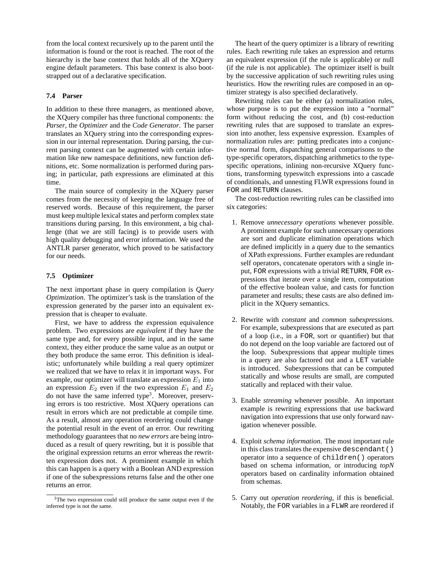from the local context recursively up to the parent until the information is found or the root is reached. The root of the hierarchy is the base context that holds all of the XQuery engine default parameters. This base context is also bootstrapped out of a declarative specification.

#### **7.4 Parser**

In addition to these three managers, as mentioned above, the XQuery compiler has three functional components: the *Parser*, the *Optimizer* and the *Code Generator*. The parser translates an XQuery string into the corresponding expression in our internal representation. During parsing, the current parsing context can be augmented with certain information like new namespace definitions, new function definitions, etc. Some normalization is performed during parsing; in particular, path expressions are eliminated at this time.

The main source of complexity in the XQuery parser comes from the necessity of keeping the language free of reserved words. Because of this requirement, the parser must keep multiple lexical states and perform complex state transitions during parsing. In this environment, a big challenge (that we are still facing) is to provide users with high quality debugging and error information. We used the ANTLR parser generator, which proved to be satisfactory for our needs.

#### **7.5 Optimizer**

The next important phase in query compilation is *Query Optimization*. The optimizer's task is the translation of the expression generated by the parser into an equivalent expression that is cheaper to evaluate.

First, we have to address the expression equivalence problem. Two expressions are *equivalent* if they have the same type and, for every possible input, and in the same context, they either produce the same value as an output or they both produce the same error. This definition is idealistic; unfortunately while building a real query optimizer we realized that we have to relax it in important ways. For example, our optimizer will translate an expression  $E_1$  into an expression  $E_2$  even if the two expression  $E_1$  and  $E_2$ do not have the same inferred type<sup>3</sup>. Moreover, preserving errors is too restrictive. Most XQuery operations can result in errors which are not predictable at compile time. As a result, almost any operation reordering could change the potential result in the event of an error. Our rewriting methodology guarantees that no *new errors* are being introduced as a result of query rewriting, but it is possible that the original expression returns an error whereas the rewritten expression does not. A prominent example in which this can happen is a query with a Boolean AND expression if one of the subexpressions returns false and the other one returns an error.

The heart of the query optimizer is a library of rewriting rules. Each rewriting rule takes an expression and returns an equivalent expression (if the rule is applicable) or null (if the rule is not applicable). The optimizer itself is built by the successive application of such rewriting rules using heuristics. How the rewriting rules are composed in an optimizer strategy is also specified declaratively.

Rewriting rules can be either (a) normalization rules, whose purpose is to put the expression into a "normal" form without reducing the cost, and (b) cost-reduction rewriting rules that are supposed to translate an expression into another, less expensive expression. Examples of normalization rules are: putting predicates into a conjunctive normal form, dispatching general comparisons to the type-specific operators, dispatching arithmetics to the typespecific operations, inlining non-recursive XQuery functions, transforming typeswitch expressions into a cascade of conditionals, and unnesting FLWR expressions found in FOR and RETURN clauses.

The cost-reduction rewriting rules can be classified into six categories:

- 1. Remove *unnecessary operations* whenever possible. A prominent example for such unnecessary operations are sort and duplicate elimination operations which are defined implicitly in a query due to the semantics of XPath expressions. Further examples are redundant self operators, concatenate operators with a single input, FOR expressions with a trivial RETURN, FOR expressions that iterate over a single item, computation of the effective boolean value, and casts for function parameter and results; these casts are also defined implicit in the XQuery semantics.
- 2. Rewrite with *constant* and *common subexpressions*. For example, subexpressions that are executed as part of a loop (i.e., in a FOR, sort or quantifier) but that do not depend on the loop variable are factored out of the loop. Subexpressions that appear multiple times in a query are also factored out and a LET variable is introduced. Subexpressions that can be computed statically and whose results are small, are computed statically and replaced with their value.
- 3. Enable *streaming* whenever possible. An important example is rewriting expressions that use backward navigation into expressions that use only forward navigation whenever possible.
- 4. Exploit *schema information*. The most important rule in this class translates the expensive descendant () operator into a sequence of children() operators based on schema information, or introducing *topN* operators based on cardinality information obtained from schemas.
- 5. Carry out *operation reordering*, if this is beneficial. Notably, the FOR variables in a FLWR are reordered if

<sup>3</sup>The two expression could still produce the same output even if the inferred type is not the same.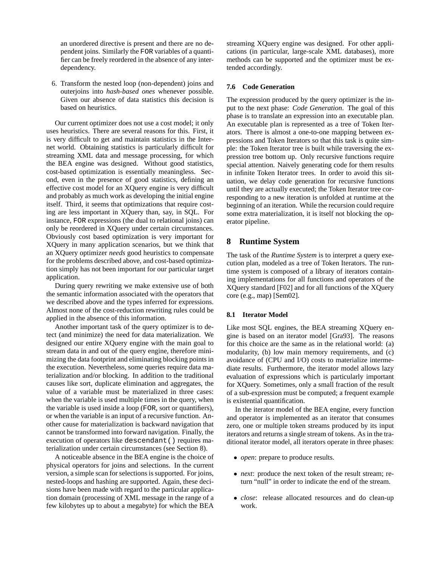an unordered directive is present and there are no dependent joins. Similarly the FOR variables of a quantifier can be freely reordered in the absence of any interdependency.

6. Transform the nested loop (non-dependent) joins and outerjoins into *hash-based ones* whenever possible. Given our absence of data statistics this decision is based on heuristics.

Our current optimizer does not use a cost model; it only uses heuristics. There are several reasons for this. First, it is very difficult to get and maintain statistics in the Internet world. Obtaining statistics is particularly difficult for streaming XML data and message processing, for which the BEA engine was designed. Without good statistics, cost-based optimization is essentially meaningless. Second, even in the presence of good statistics, defining an effective cost model for an XQuery engine is very difficult and probably as much work as developing the initial engine itself. Third, it seems that optimizations that require costing are less important in XQuery than, say, in SQL. For instance, FOR expressions (the dual to relational joins) can only be reordered in XQuery under certain circumstances. Obviously cost based optimization is very important for XQuery in many application scenarios, but we think that an XQuery optimizer *needs* good heuristics to compensate for the problems described above, and cost-based optimization simply has not been important for our particular target application.

During query rewriting we make extensive use of both the semantic information associated with the operators that we described above and the types inferred for expressions. Almost none of the cost-reduction rewriting rules could be applied in the absence of this information.

Another important task of the query optimizer is to detect (and minimize) the need for data materialization. We designed our entire XQuery engine with the main goal to stream data in and out of the query engine, therefore minimizing the data footprint and eliminating blocking points in the execution. Nevertheless, some queries require data materialization and/or blocking. In addition to the traditional causes like sort, duplicate elimination and aggregates, the value of a variable must be materialized in three cases: when the variable is used multiple times in the query, when the variable is used inside a loop (FOR, sort or quantifiers), or when the variable is an input of a recursive function. Another cause for materialization is backward navigation that cannot be transformed into forward navigation. Finally, the execution of operators like descendant () requires materialization under certain circumstances (see Section 8).

A noticeable absence in the BEA engine is the choice of physical operators for joins and selections. In the current version, a simple scan for selections is supported. For joins, nested-loops and hashing are supported. Again, these decisions have been made with regard to the particular application domain (processing of XML message in the range of a few kilobytes up to about a megabyte) for which the BEA

streaming XQuery engine was designed. For other applications (in particular, large-scale XML databases), more methods can be supported and the optimizer must be extended accordingly.

#### **7.6 Code Generation**

The expression produced by the query optimizer is the input to the next phase: *Code Generation*. The goal of this phase is to translate an expression into an executable plan. An executable plan is represented as a tree of Token Iterators. There is almost a one-to-one mapping between expressions and Token Iterators so that this task is quite simple: the Token Iterator tree is built while traversing the expression tree bottom up. Only recursive functions require special attention. Naively generating code for them results in infinite Token Iterator trees. In order to avoid this situation, we delay code generation for recursive functions until they are actually executed; the Token Iterator tree corresponding to a new iteration is unfolded at runtime at the beginning of an iteration. While the recursion could require some extra materialization, it is itself not blocking the operator pipeline.

# **8 Runtime System**

The task of the *Runtime System* is to interpret a query execution plan, modeled as a tree of Token Iterators. The runtime system is composed of a library of iterators containing implementations for all functions and operators of the XQuery standard [F02] and for all functions of the XQuery core (e.g., map) [Sem02].

#### **8.1 Iterator Model**

Like most SQL engines, the BEA streaming XQuery engine is based on an iterator model [Gra93]. The reasons for this choice are the same as in the relational world: (a) modularity, (b) low main memory requirements, and (c) avoidance of (CPU and I/O) costs to materialize intermediate results. Furthermore, the iterator model allows lazy evaluation of expressions which is particularly important for XQuery. Sometimes, only a small fraction of the result of a sub-expression must be computed; a frequent example is existential quantification.

In the iterator model of the BEA engine, every function and operator is implemented as an iterator that consumes zero, one or multiple token streams produced by its input iterators and returns a single stream of tokens. As in the traditional iterator model, all iterators operate in three phases:

- *open*: prepare to produce results.
- *next*: produce the next token of the result stream; return "null" in order to indicate the end of the stream.
- *close*: release allocated resources and do clean-up work.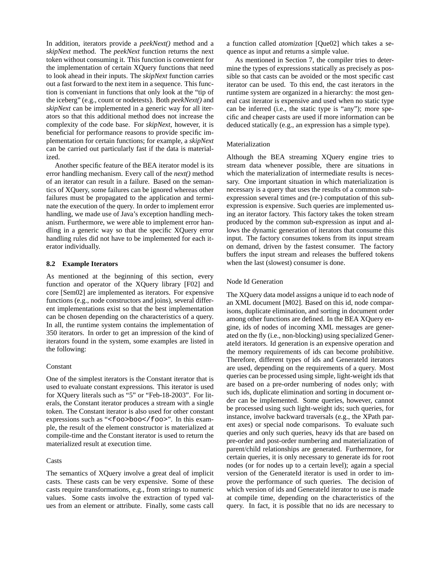In addition, iterators provide a *peekNext()* method and a *skipNext* method. The *peekNext* function returns the next token without consuming it. This function is convenient for the implementation of certain XQuery functions that need to look ahead in their inputs. The *skipNext* function carries out a fast forward to the next item in a sequence. This function is conveniant in functions that only look at the "tip of the iceberg" (e.g., count or nodetests). Both *peekNext()* and *skipNext* can be implemented in a generic way for all iterators so that this additional method does not increase the complexity of the code base. For *skipNext*, however, it is beneficial for performance reasons to provide specific implementation for certain functions; for example, a *skipNext* can be carried out particularly fast if the data is materialized.

Another specific feature of the BEA iterator model is its error handling mechanism. Every call of the *next()* method of an iterator can result in a failure. Based on the semantics of XQuery, some failures can be ignored whereas other failures must be propagated to the application and terminate the execution of the query. In order to implement error handling, we made use of Java's exception handling mechanism. Furthermore, we were able to implement error handling in a generic way so that the specific XQuery error handling rules did not have to be implemented for each iterator individually.

#### **8.2 Example Iterators**

As mentioned at the beginning of this section, every function and operator of the XQuery library [F02] and core [Sem02] are implemented as iterators. For expensive functions (e.g., node constructors and joins), several different implementations exist so that the best implementation can be chosen depending on the characteristics of a query. In all, the runtime system contains the implementation of 350 iterators. In order to get an impression of the kind of iterators found in the system, some examples are listed in the following:

#### Constant

One of the simplest iterators is the Constant iterator that is used to evaluate constant expressions. This iterator is used for XQuery literals such as "5" or "Feb-18-2003". For literals, the Constant iterator produces a stream with a single token. The Constant iterator is also used for other constant expressions such as "<foo>boo</foo>". In this example, the result of the element constructor is materialized at compile-time and the Constant iterator is used to return the materialized result at execution time.

#### **Casts**

The semantics of XQuery involve a great deal of implicit casts. These casts can be very expensive. Some of these casts require transformations, e.g., from strings to numeric values. Some casts involve the extraction of typed values from an element or attribute. Finally, some casts call a function called *atomization* [Que02] which takes a sequence as input and returns a simple value.

As mentioned in Section 7, the compiler tries to determine the types of expressions statically as precisely as possible so that casts can be avoided or the most specific cast iterator can be used. To this end, the cast iterators in the runtime system are organized in a hierarchy: the most general cast iterator is expensive and used when no static type can be inferred (i.e., the static type is "any"); more specific and cheaper casts are used if more information can be deduced statically (e.g., an expression has a simple type).

#### Materialization

Although the BEA streaming XQuery engine tries to stream data whenever possible, there are situations in which the materialization of intermediate results is necessary. One important situation in which materialization is necessary is a query that uses the results of a common subexpression several times and (re-) computation of this subexpression is expensive. Such queries are implemented using an iterator factory. This factory takes the token stream produced by the common sub-expression as input and allows the dynamic generation of iterators that consume this input. The factory consumes tokens from its input stream on demand, driven by the fastest consumer. The factory buffers the input stream and releases the buffered tokens when the last (slowest) consumer is done.

#### Node Id Generation

The XQuery data model assigns a unique id to each node of an XML document [M02]. Based on this id, node comparisons, duplicate elimination, and sorting in document order among other functions are defined. In the BEA XQuery engine, ids of nodes of incoming XML messages are generated on the fly (i.e., non-blocking) using specialized GenerateId iterators. Id generation is an expensive operation and the memory requirements of ids can become prohibitive. Therefore, different types of ids and GenerateId iterators are used, depending on the requirements of a query. Most queries can be processed using simple, light-weight ids that are based on a pre-order numbering of nodes only; with such ids, duplicate elimination and sorting in document order can be implemented. Some queries, however, cannot be processed using such light-weight ids; such queries, for instance, involve backward traversals (e.g., the XPath parent axes) or special node comparisons. To evaluate such queries and only such queries, heavy ids that are based on pre-order and post-order numbering and materialization of parent/child relationships are generated. Furthermore, for certain queries, it is only necessary to generate ids for root nodes (or for nodes up to a certain level); again a special version of the GenerateId iterator is used in order to improve the performance of such queries. The decision of which version of ids and GenerateId iterator to use is made at compile time, depending on the characteristics of the query. In fact, it is possible that no ids are necessary to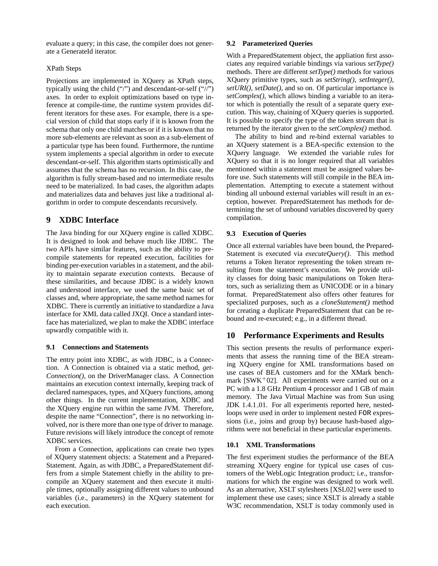evaluate a query; in this case, the compiler does not generate a GenerateId iterator.

# XPath Steps

Projections are implemented in XQuery as XPath steps, typically using the child ("/") and descendant-or-self ("//") axes. In order to exploit optimizations based on type inference at compile-time, the runtime system provides different iterators for these axes. For example, there is a special version of child that stops early if it is known from the schema that only one child matches or if it is known that no more sub-elements are relevant as soon as a sub-element of a particular type has been found. Furthermore, the runtime system implements a special algorithm in order to execute descendant-or-self. This algorithm starts optimistically and assumes that the schema has no recursion. In this case, the algorithm is fully stream-based and no intermediate results need to be materialized. In bad cases, the algorithm adapts and materializes data and behaves just like a traditional algorithm in order to compute descendants recursively.

# **9 XDBC Interface**

The Java binding for our XQuery engine is called XDBC. It is designed to look and behave much like JDBC. The two APIs have similar features, such as the ability to precompile statements for repeated execution, facilities for binding per-execution variables in a statement, and the ability to maintain separate execution contexts. Because of these similarities, and because JDBC is a widely known and understood interface, we used the same basic set of classes and, where appropriate, the same method names for XDBC. There is currently an initiative to standardize a Java interface for XML data called JXQI. Once a standard interface has materialized, we plan to make the XDBC interface upwardly compatible with it.

# **9.1 Connections and Statements**

The entry point into XDBC, as with JDBC, is a Connection. A Connection is obtained via a static method, *get-Connection()*, on the DriverManager class. A Connection maintains an execution context internally, keeping track of declared namespaces, types, and XQuery functions, among other things. In the current implementation, XDBC and the XQuery engine run within the same JVM. Therefore, despite the name "Connection", there is no networking involved, nor is there more than one type of driver to manage. Future revisions will likely introduce the concept of remote XDBC services.

From a Connection, applications can create two types of XQuery statement objects: a Statement and a Prepared-Statement. Again, as with JDBC, a PreparedStatement differs from a simple Statement chiefly in the ability to precompile an XQuery statement and then execute it multiple times, optionally assigning different values to unbound variables (i.e., parameters) in the XQuery statement for each execution.

## **9.2 Parameterized Queries**

With a PreparedStatement object, the appliation first associates any required variable bindings via various *setType()* methods. There are different *setType()* methods for various XQuery primitive types, such as *setString(), setInteger(), setURI(), setDate()*, and so on. Of particular importance is *setComplex()*, which allows binding a variable to an iterator which is potentially the result of a separate query execution. This way, chaining of XQuery queries is supported. It is possible to specify the type of the token stream that is returned by the iterator given to the *setComplex()* method.

The ability to bind and re-bind external variables to an XQuery statement is a BEA-specific extension to the XQuery language. We extended the variable rules for XQuery so that it is no longer required that all variables mentioned within a statement must be assigned values before use. Such statements will still compile in the BEA implementation. Attempting to execute a statement without binding all unbound external variables will result in an exception, however. PreparedStatement has methods for determining the set of unbound variables discovered by query compilation.

# **9.3 Execution of Queries**

Once all external variables have been bound, the Prepared-Statement is executed via *executeQuery()*. This method returns a Token Iterator representing the token stream resulting from the statement's execution. We provide utility classes for doing basic manipulations on Token Iterators, such as serializing them as UNICODE or in a binary format. PreparedStatement also offers other features for specialized purposes, such as a *cloneStatement()* method for creating a duplicate PreparedStatement that can be rebound and re-executed; e.g., in a different thread.

# **10 Performance Experiments and Results**

This section presents the results of performance experiments that assess the running time of the BEA streaming XQuery engine for XML transformations based on use cases of BEA customers and for the XMark benchmark  $[SWK^+02]$ . All experiments were carried out on a PC with a 1.8 GHz Pentium 4 processor and 1 GB of main memory. The Java Virtual Machine was from Sun using JDK 1.4.1 01. For all experiments reported here, nestedloops were used in order to implement nested FOR expressions (i.e., joins and group by) because hash-based algorithms were not beneficial in these particular experiments.

# **10.1 XML Transformations**

The first experiment studies the performance of the BEA streaming XQuery engine for typical use cases of customers of the WebLogic Integration product; i.e., transformations for which the engine was designed to work well. As an alternative, XSLT stylesheets [XSL02] were used to implement these use cases; since XSLT is already a stable W3C recommendation, XSLT is today commonly used in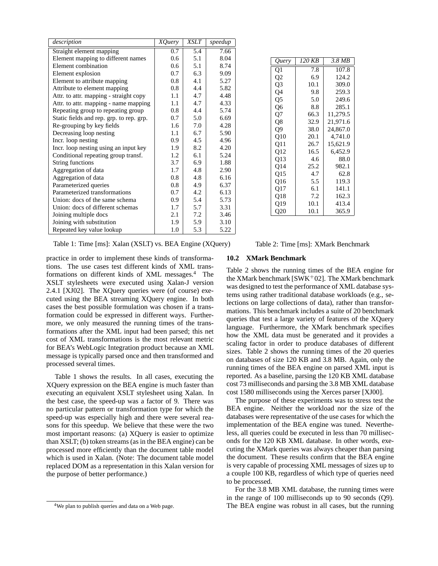| description                              | <b>XQuery</b> | XSLT | speedup |
|------------------------------------------|---------------|------|---------|
| Straight element mapping                 | 0.7           | 5.4  | 7.66    |
| Element mapping to different names       | $0.6^{\circ}$ | 5.1  | 8.04    |
| Element combination                      | 0.6           | 5.1  | 8.74    |
| Element explosion                        | 0.7           | 6.3  | 9.09    |
| Element to attribute mapping             | 0.8           | 4.1  | 5.27    |
| Attribute to element mapping             | 0.8           | 4.4  | 5.82    |
| Attr. to attr. mapping - straight copy   | 1.1           | 4.7  | 4.48    |
| Attr. to attr. mapping - name mapping    | 1.1           | 4.7  | 4.33    |
| Repeating group to repeating group       | 0.8           | 4.4  | 5.74    |
| Static fields and rep. grp. to rep. grp. | 0.7           | 5.0  | 6.69    |
| Re-grouping by key fields                | 1.6           | 7.0  | 4.28    |
| Decreasing loop nesting                  | 1.1           | 6.7  | 5.90    |
| Incr. loop nesting                       | 0.9           | 4.5  | 4.96    |
| Incr. loop nesting using an input key    | 1.9           | 8.2  | 4.20    |
| Conditional repeating group transf.      | 1.2           | 6.1  | 5.24    |
| String functions                         | 3.7           | 6.9  | 1.88    |
| Aggregation of data                      | 1.7           | 4.8  | 2.90    |
| Aggregation of data                      | 0.8           | 4.8  | 6.16    |
| Parameterized queries                    | 0.8           | 4.9  | 6.37    |
| Parameterized transformations            | 0.7           | 4.2  | 6.13    |
| Union: docs of the same schema           | 0.9           | 5.4  | 5.73    |
| Union: docs of different schemas         | 1.7           | 5.7  | 3.31    |
| Joining multiple docs                    | 2.1           | 7.2  | 3.46    |
| Joining with substitution                | 1.9           | 5.9  | 3.10    |
| Repeated key value lookup                | $1.0\,$       | 5.3  | 5.22    |

| Query | 120 KB | 3.8MB    |
|-------|--------|----------|
| Q1    | 7.8    | 107.8    |
| Q2    | 6.9    | 124.2    |
| Q3    | 10.1   | 309.0    |
| Q4    | 9.8    | 259.3    |
| Q5    | 5.0    | 249.6    |
| Q6    | 8.8    | 285.1    |
| Q7    | 66.3   | 11,279.5 |
| Q8    | 32.9   | 21,971.6 |
| Q9    | 38.0   | 24,867.0 |
| Q10   | 20.1   | 4,741.0  |
| Q11   | 26.7   | 15,621.9 |
| 012   | 16.5   | 6,452.9  |
| Q13   | 4.6    | 88.0     |
| Q14   | 25.2   | 982.1    |
| O15   | 4.7    | 62.8     |
| 016   | 5.5    | 119.3    |
| Q17   | 6.1    | 141.1    |
| Q18   | 7.2    | 162.3    |
| Q19   | 10.1   | 413.4    |
| Q20   | 10.1   | 365.9    |

Table 1: Time [ms]: Xalan (XSLT) vs. BEA Engine (XQuery) Table 2: Time [ms]: XMark Benchmark

practice in order to implement these kinds of transformations. The use cases test different kinds of XML transformations on different kinds of XML messages.<sup>4</sup> The XSLT stylesheets were executed using Xalan-J version 2.4.1 [XJ02]. The XQuery queries were (of course) executed using the BEA streaming XQuery engine. In both cases the best possible formulation was chosen if a transformation could be expressed in different ways. Furthermore, we only measured the running times of the transformations after the XML input had been parsed; this net cost of XML transformations is the most relevant metric for BEA's WebLogic Integration product because an XML message is typically parsed once and then transformed and processed several times.

Table 1 shows the results. In all cases, executing the XQuery expression on the BEA engine is much faster than executing an equivalent XSLT stylesheet using Xalan. In the best case, the speed-up was a factor of 9. There was no particular pattern or transformation type for which the speed-up was especially high and there were several reasons for this speedup. We believe that these were the two most important reasons: (a) XQuery is easier to optimize than XSLT; (b) token streams (as in the BEA engine) can be processed more efficiently than the document table model which is used in Xalan. (Note: The document table model replaced DOM as a representation in this Xalan version for the purpose of better performance.)

#### **10.2 XMark Benchmark**

Table 2 shows the running times of the BEA engine for the XMark benchmark  $[SWK^+02]$ . The XMark benchmark was designed to test the performance of XML database systems using rather traditional database workloads (e.g., selections on large collections of data), rather than transformations. This benchmark includes a suite of 20 benchmark queries that test a large variety of features of the XQuery language. Furthermore, the XMark benchmark specifies how the XML data must be generated and it provides a scaling factor in order to produce databases of different sizes. Table 2 shows the running times of the 20 queries on databases of size 120 KB and 3.8 MB. Again, only the running times of the BEA engine on parsed XML input is reported. As a baseline, parsing the 120 KB XML database cost 73 milliseconds and parsing the 3.8 MB XML database cost 1580 milliseconds using the Xerces parser [XJ00].

The purpose of these experiments was to stress test the BEA engine. Neither the workload nor the size of the databases were representative of the use cases for which the implementation of the BEA engine was tuned. Nevertheless, all queries could be executed in less than 70 milliseconds for the 120 KB XML database. In other words, executing the XMark queries was always cheaper than parsing the document. These results confirm that the BEA engine is very capable of processing XML messages of sizes up to a couple 100 KB, regardless of which type of queries need to be processed.

For the 3.8 MB XML database, the running times were in the range of 100 milliseconds up to 90 seconds (Q9). The BEA engine was robust in all cases, but the running

<sup>4</sup>We plan to publish queries and data on a Web page.